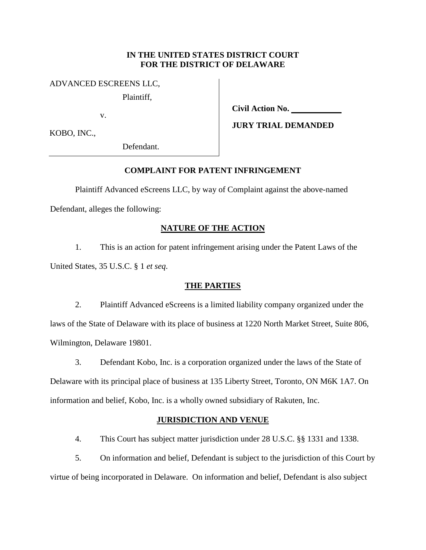## **IN THE UNITED STATES DISTRICT COURT FOR THE DISTRICT OF DELAWARE**

### ADVANCED ESCREENS LLC,

Plaintiff,

v.

**Civil Action No.** 

**JURY TRIAL DEMANDED**

KOBO, INC.,

Defendant.

## **COMPLAINT FOR PATENT INFRINGEMENT**

Plaintiff Advanced eScreens LLC, by way of Complaint against the above-named

Defendant, alleges the following:

# **NATURE OF THE ACTION**

1. This is an action for patent infringement arising under the Patent Laws of the United States, 35 U.S.C. § 1 *et seq*.

## **THE PARTIES**

2. Plaintiff Advanced eScreens is a limited liability company organized under the laws of the State of Delaware with its place of business at 1220 North Market Street, Suite 806, Wilmington, Delaware 19801.

3. Defendant Kobo, Inc. is a corporation organized under the laws of the State of Delaware with its principal place of business at 135 Liberty Street, Toronto, ON M6K 1A7. On information and belief, Kobo, Inc. is a wholly owned subsidiary of Rakuten, Inc.

## **JURISDICTION AND VENUE**

4. This Court has subject matter jurisdiction under 28 U.S.C. §§ 1331 and 1338.

5. On information and belief, Defendant is subject to the jurisdiction of this Court by virtue of being incorporated in Delaware. On information and belief, Defendant is also subject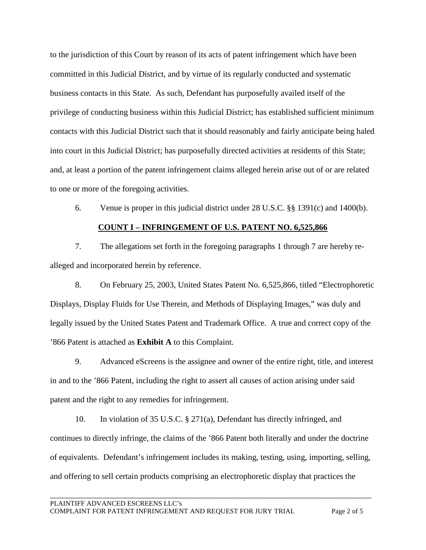to the jurisdiction of this Court by reason of its acts of patent infringement which have been committed in this Judicial District, and by virtue of its regularly conducted and systematic business contacts in this State. As such, Defendant has purposefully availed itself of the privilege of conducting business within this Judicial District; has established sufficient minimum contacts with this Judicial District such that it should reasonably and fairly anticipate being haled into court in this Judicial District; has purposefully directed activities at residents of this State; and, at least a portion of the patent infringement claims alleged herein arise out of or are related to one or more of the foregoing activities.

6. Venue is proper in this judicial district under 28 U.S.C. §§ 1391(c) and 1400(b).

# **COUNT I – INFRINGEMENT OF U.S. PATENT NO. 6,525,866**

7. The allegations set forth in the foregoing paragraphs 1 through 7 are hereby realleged and incorporated herein by reference.

8. On February 25, 2003, United States Patent No. 6,525,866, titled "Electrophoretic Displays, Display Fluids for Use Therein, and Methods of Displaying Images," was duly and legally issued by the United States Patent and Trademark Office. A true and correct copy of the '866 Patent is attached as **Exhibit A** to this Complaint.

9. Advanced eScreens is the assignee and owner of the entire right, title, and interest in and to the '866 Patent, including the right to assert all causes of action arising under said patent and the right to any remedies for infringement.

10. In violation of 35 U.S.C. § 271(a), Defendant has directly infringed, and continues to directly infringe, the claims of the '866 Patent both literally and under the doctrine of equivalents. Defendant's infringement includes its making, testing, using, importing, selling, and offering to sell certain products comprising an electrophoretic display that practices the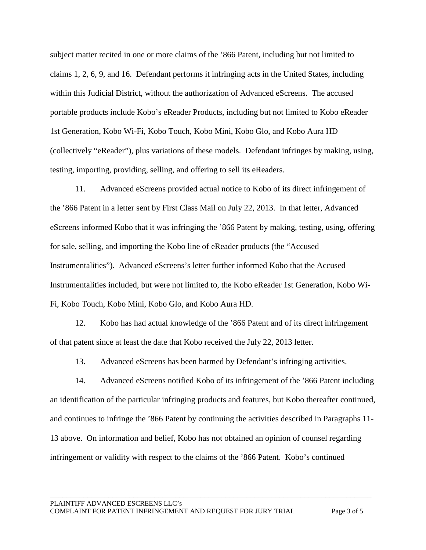subject matter recited in one or more claims of the '866 Patent, including but not limited to claims 1, 2, 6, 9, and 16. Defendant performs it infringing acts in the United States, including within this Judicial District, without the authorization of Advanced eScreens. The accused portable products include Kobo's eReader Products, including but not limited to Kobo eReader 1st Generation, Kobo Wi-Fi, Kobo Touch, Kobo Mini, Kobo Glo, and Kobo Aura HD (collectively "eReader"), plus variations of these models. Defendant infringes by making, using, testing, importing, providing, selling, and offering to sell its eReaders.

11. Advanced eScreens provided actual notice to Kobo of its direct infringement of the '866 Patent in a letter sent by First Class Mail on July 22, 2013. In that letter, Advanced eScreens informed Kobo that it was infringing the '866 Patent by making, testing, using, offering for sale, selling, and importing the Kobo line of eReader products (the "Accused Instrumentalities"). Advanced eScreens's letter further informed Kobo that the Accused Instrumentalities included, but were not limited to, the Kobo eReader 1st Generation, Kobo Wi-Fi, Kobo Touch, Kobo Mini, Kobo Glo, and Kobo Aura HD.

12. Kobo has had actual knowledge of the '866 Patent and of its direct infringement of that patent since at least the date that Kobo received the July 22, 2013 letter.

13. Advanced eScreens has been harmed by Defendant's infringing activities.

14. Advanced eScreens notified Kobo of its infringement of the '866 Patent including an identification of the particular infringing products and features, but Kobo thereafter continued, and continues to infringe the '866 Patent by continuing the activities described in Paragraphs 11- 13 above. On information and belief, Kobo has not obtained an opinion of counsel regarding infringement or validity with respect to the claims of the '866 Patent. Kobo's continued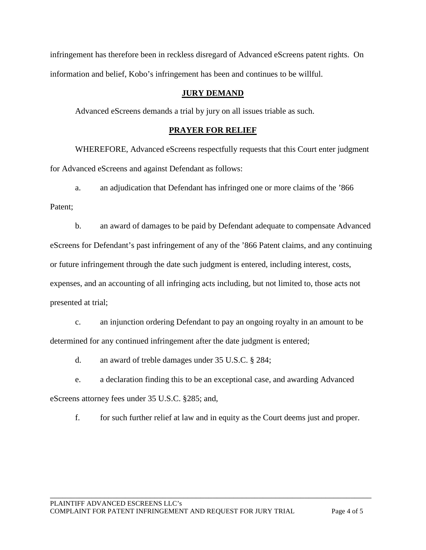infringement has therefore been in reckless disregard of Advanced eScreens patent rights. On information and belief, Kobo's infringement has been and continues to be willful.

## **JURY DEMAND**

Advanced eScreens demands a trial by jury on all issues triable as such.

## **PRAYER FOR RELIEF**

WHEREFORE, Advanced eScreens respectfully requests that this Court enter judgment for Advanced eScreens and against Defendant as follows:

a. an adjudication that Defendant has infringed one or more claims of the '866

Patent;

b. an award of damages to be paid by Defendant adequate to compensate Advanced eScreens for Defendant's past infringement of any of the '866 Patent claims, and any continuing or future infringement through the date such judgment is entered, including interest, costs, expenses, and an accounting of all infringing acts including, but not limited to, those acts not presented at trial;

c. an injunction ordering Defendant to pay an ongoing royalty in an amount to be determined for any continued infringement after the date judgment is entered;

d. an award of treble damages under 35 U.S.C. § 284;

e. a declaration finding this to be an exceptional case, and awarding Advanced eScreens attorney fees under 35 U.S.C. §285; and,

f. for such further relief at law and in equity as the Court deems just and proper.